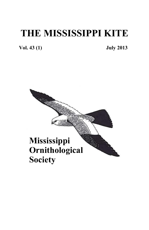# **THE MISSISSIPPI KITE**

**Vol. 43 (1) July 2013** 

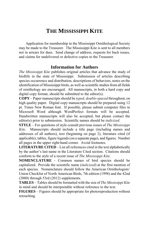### **THE MISSISSIPPI KITE**

Application for membership in the Mississippi Ornithological Society may be made to the Treasurer. The Mississippi Kite is sent to all members not in arrears for dues. Send change of address, requests for back issues, and claims for undelivered or defective copies to the Treasurer.

#### **Information for Authors**

*The Mississippi Kite* publishes original articles that advance the study of birdlife in the state of Mississippi. Submission of articles describing species occurrence and distribution, descriptions of behaviors, notes on the identification of Mississippi birds, as well as scientific studies from all fields of ornithology are encouraged. All manuscripts, in both a hard copy and digital copy format, should be submitted to the editor(s).

**COPY** – Paper manuscripts should be *typed, double-spaced* throughout, on high quality paper. Digital copy manuscripts should be prepared using 12 pt. Times New Roman font. If possible, please submit computer files in Microsoft Word although WordPerfect formats will be accepted. Handwritten manuscripts will also be accepted, but please contact the editor(s) prior to submission. Scientific names should be *italicized*.

**STYLE** – For questions of style consult previous issues of *The Mississippi Kite*. Manuscripts should include a title page (including names and addresses of all authors), text (beginning on page 2), literature cited (if applicable), tables, figure legends (on a separate page), and figures. Number all pages in the upper right-hand corner. Avoid footnotes.

**LITERATURE CITED** – List all references cited in the text alphabetically by the author's last name in the Literature Cited section. Citations should conform to the style of a recent issue of *The Mississippi Kite*.

**NOMENCLATURE** - Common names of bird species should be capitalized. Provide the scientific name (*italicized*) at the first mention of each species. Nomenclature should follow the American Ornithologists' Union Checklist of North American Birds, 7th edition (1998) and the 42nd (2000) through 53rd (2012) supplements.

**TABLES** – Tables should be formatted with the size of *The Mississippi Kite* in mind and should be interpretable without reference to the text.

**FIGURES** – Figures should be appropriate for photoreproduction without retouching.